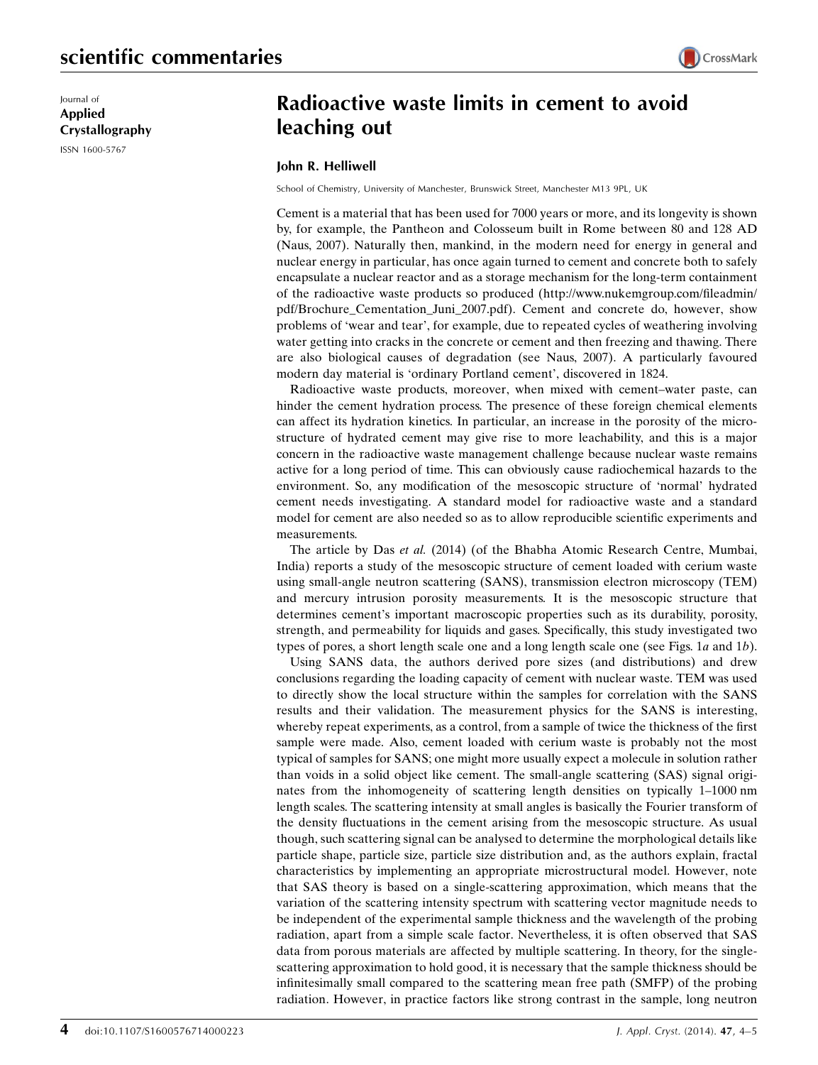Journal of Applied Crystallography ISSN 1600-5767

## Radioactive waste limits in cement to avoid leaching out

## John R. Helliwell

School of Chemistry, University of Manchester, Brunswick Street, Manchester M13 9PL, UK

Cement is a material that has been used for 7000 years or more, and its longevity is shown by, for example, the Pantheon and Colosseum built in Rome between 80 and 128 AD (Naus, 2007). Naturally then, mankind, in the modern need for energy in general and nuclear energy in particular, has once again turned to cement and concrete both to safely encapsulate a nuclear reactor and as a storage mechanism for the long-term containment of the radioactive waste products so produced (http://www.nukemgroup.com/fileadmin/ pdf/Brochure\_Cementation\_Juni\_2007.pdf). Cement and concrete do, however, show problems of 'wear and tear', for example, due to repeated cycles of weathering involving water getting into cracks in the concrete or cement and then freezing and thawing. There are also biological causes of degradation (see Naus, 2007). A particularly favoured modern day material is 'ordinary Portland cement', discovered in 1824.

Radioactive waste products, moreover, when mixed with cement–water paste, can hinder the cement hydration process. The presence of these foreign chemical elements can affect its hydration kinetics. In particular, an increase in the porosity of the microstructure of hydrated cement may give rise to more leachability, and this is a major concern in the radioactive waste management challenge because nuclear waste remains active for a long period of time. This can obviously cause radiochemical hazards to the environment. So, any modification of the mesoscopic structure of 'normal' hydrated cement needs investigating. A standard model for radioactive waste and a standard model for cement are also needed so as to allow reproducible scientific experiments and measurements.

The article by Das et al. (2014) (of the Bhabha Atomic Research Centre, Mumbai, India) reports a study of the mesoscopic structure of cement loaded with cerium waste using small-angle neutron scattering (SANS), transmission electron microscopy (TEM) and mercury intrusion porosity measurements. It is the mesoscopic structure that determines cement's important macroscopic properties such as its durability, porosity, strength, and permeability for liquids and gases. Specifically, this study investigated two types of pores, a short length scale one and a long length scale one (see Figs. 1a and 1b).

Using SANS data, the authors derived pore sizes (and distributions) and drew conclusions regarding the loading capacity of cement with nuclear waste. TEM was used to directly show the local structure within the samples for correlation with the SANS results and their validation. The measurement physics for the SANS is interesting, whereby repeat experiments, as a control, from a sample of twice the thickness of the first sample were made. Also, cement loaded with cerium waste is probably not the most typical of samples for SANS; one might more usually expect a molecule in solution rather than voids in a solid object like cement. The small-angle scattering (SAS) signal originates from the inhomogeneity of scattering length densities on typically 1–1000 nm length scales. The scattering intensity at small angles is basically the Fourier transform of the density fluctuations in the cement arising from the mesoscopic structure. As usual though, such scattering signal can be analysed to determine the morphological details like particle shape, particle size, particle size distribution and, as the authors explain, fractal characteristics by implementing an appropriate microstructural model. However, note that SAS theory is based on a single-scattering approximation, which means that the variation of the scattering intensity spectrum with scattering vector magnitude needs to be independent of the experimental sample thickness and the wavelength of the probing radiation, apart from a simple scale factor. Nevertheless, it is often observed that SAS data from porous materials are affected by multiple scattering. In theory, for the singlescattering approximation to hold good, it is necessary that the sample thickness should be infinitesimally small compared to the scattering mean free path (SMFP) of the probing radiation. However, in practice factors like strong contrast in the sample, long neutron